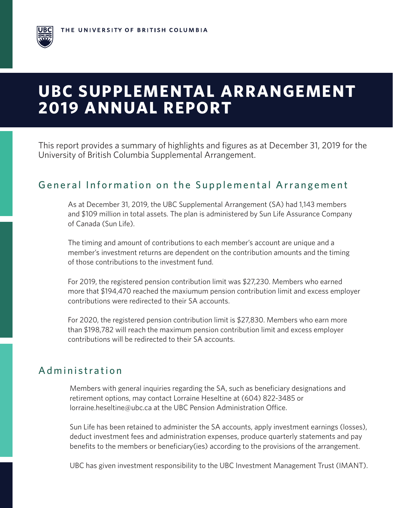# **UBC SUPPLEMENTAL ARRANGEMENT 2019 ANNUAL REPORT**

This report provides a summary of highlights and figures as at December 31, 2019 for the University of British Columbia Supplemental Arrangement.

### General Information on the Supplemental Arrangement

As at December 31, 2019, the UBC Supplemental Arrangement (SA) had 1,143 members and \$109 million in total assets. The plan is administered by Sun Life Assurance Company of Canada (Sun Life).

The timing and amount of contributions to each member's account are unique and a member's investment returns are dependent on the contribution amounts and the timing of those contributions to the investment fund.

For 2019, the registered pension contribution limit was \$27,230. Members who earned more that \$194,470 reached the maxiumum pension contribution limit and excess employer contributions were redirected to their SA accounts.

For 2020, the registered pension contribution limit is \$27,830. Members who earn more than \$198,782 will reach the maximum pension contribution limit and excess employer contributions will be redirected to their SA accounts.

## Administration

Members with general inquiries regarding the SA, such as beneficiary designations and retirement options, may contact Lorraine Heseltine at (604) 822-3485 or lorraine.heseltine@ubc.ca at the UBC Pension Administration Office.

Sun Life has been retained to administer the SA accounts, apply investment earnings (losses), deduct investment fees and administration expenses, produce quarterly statements and pay benefits to the members or beneficiary(ies) according to the provisions of the arrangement.

UBC has given investment responsibility to the UBC Investment Management Trust (IMANT).